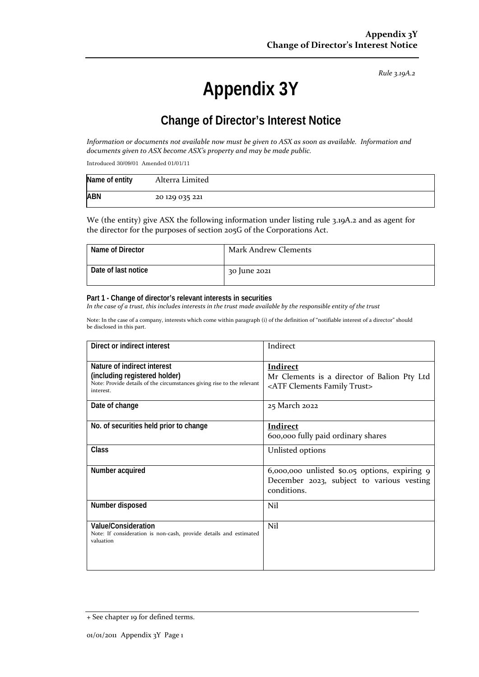*Rule 3.19A.2*

# **Appendix 3Y**

# **Change of Director's Interest Notice**

*Information or documents not available now must be given to ASX as soon as available. Information and documents given to ASX become ASX's property and may be made public.*

Introduced 30/09/01 Amended 01/01/11

| Name of entity | Alterra Limited |
|----------------|-----------------|
| <b>ABN</b>     | 20 129 035 221  |

We (the entity) give ASX the following information under listing rule 3.19A.2 and as agent for the director for the purposes of section 205G of the Corporations Act.

| Name of Director    | Mark Andrew Clements |
|---------------------|----------------------|
| Date of last notice | 30 June 2021         |

#### **Part 1 - Change of director's relevant interests in securities**

*In the case of a trust, this includes interests in the trust made available by the responsible entity of the trust*

Note: In the case of a company, interests which come within paragraph (i) of the definition of "notifiable interest of a director" should be disclosed in this part.

| Direct or indirect interest                                                                                                                         | Indirect                                                                                                     |  |
|-----------------------------------------------------------------------------------------------------------------------------------------------------|--------------------------------------------------------------------------------------------------------------|--|
| Nature of indirect interest<br>(including registered holder)<br>Note: Provide details of the circumstances giving rise to the relevant<br>interest. | <b>Indirect</b><br>Mr Clements is a director of Balion Pty Ltd<br><atf clements="" family="" trust=""></atf> |  |
| Date of change                                                                                                                                      | 25 March 2022                                                                                                |  |
| No. of securities held prior to change                                                                                                              | <b>Indirect</b><br>600,000 fully paid ordinary shares                                                        |  |
| <b>Class</b>                                                                                                                                        | Unlisted options                                                                                             |  |
| Number acquired                                                                                                                                     | 6,000,000 unlisted \$0.05 options, expiring 9<br>December 2023, subject to various vesting<br>conditions.    |  |
| Number disposed                                                                                                                                     | Nil                                                                                                          |  |
| Value/Consideration<br>Note: If consideration is non-cash, provide details and estimated<br>valuation                                               | Nil                                                                                                          |  |

<sup>+</sup> See chapter 19 for defined terms.